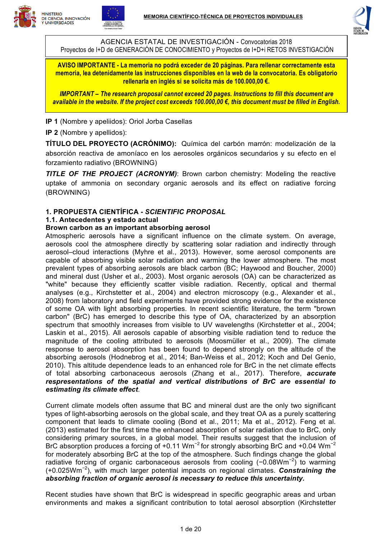





AGENCIA ESTATAL DE INVESTIGACIÓN - Convocatorias 2018 Proyectos de I+D de GENERACIÓN DE CONOCIMIENTO y Proyectos de I+D+i RETOS INVESTIGACIÓN

**AVISO IMPORTANTE - La memoria no podrá exceder de 20 páginas. Para rellenar correctamente esta memoria, lea detenidamente las instrucciones disponibles en la web de la convocatoria. Es obligatorio rellenarla en inglés si se solicita más de 100.000,00 €.**

*IMPORTANT – The research proposal cannot exceed 20 pages. Instructions to fill this document are available in the website. If the project cost exceeds 100.000,00 €, this document must be filled in English.*

#### **IP 1** (Nombre y apeliidos): Oriol Jorba Casellas

**IP 2** (Nombre y apellidos):

**TÍTULO DEL PROYECTO (ACRÓNIMO):** Química del carbón marrón: modelización de la absorción reactiva de amoníaco en los aerosoles orgánicos secundarios y su efecto en el forzamiento radiativo (BROWNING)

*TITLE OF THE PROJECT (ACRONYM)*: Brown carbon chemistry: Modeling the reactive uptake of ammonia on secondary organic aerosols and its effect on radiative forcing (BROWNING)

# **1. PROPUESTA CIENTÍFICA -** *SCIENTIFIC PROPOSAL*

#### **1.1. Antecedentes y estado actual**

#### **Brown carbon as an important absorbing aerosol**

Atmospheric aerosols have a significant influence on the climate system. On average, aerosols cool the atmosphere directly by scattering solar radiation and indirectly through aerosol–cloud interactions (Myhre et al., 2013). However, some aerosol components are capable of absorbing visible solar radiation and warming the lower atmosphere. The most prevalent types of absorbing aerosols are black carbon (BC; Haywood and Boucher, 2000) and mineral dust (Usher et al., 2003). Most organic aerosols (OA) can be characterized as "white" because they efficiently scatter visible radiation. Recently, optical and thermal analyses (e.g., Kirchstetter et al., 2004) and electron microscopy (e.g., Alexander et al., 2008) from laboratory and field experiments have provided strong evidence for the existence of some OA with light absorbing properties. In recent scientific literature, the term "brown carbon" (BrC) has emerged to describe this type of OA, characterized by an absorption spectrum that smoothly increases from visible to UV wavelengths (Kirchstetter et al., 2004; Laskin et al., 2015). All aerosols capable of absorbing visible radiation tend to reduce the magnitude of the cooling attributed to aerosols (Moosmüller et al., 2009). The climate response to aerosol absorption has been found to depend strongly on the altitude of the absorbing aerosols (Hodnebrog et al., 2014; Ban-Weiss et al., 2012; Koch and Del Genio, 2010). This altitude dependence leads to an enhanced role for BrC in the net climate effects of total absorbing carbonaceous aerosols (Zhang et al., 2017). Therefore, *accurate respresentations of the spatial and vertical distributions of BrC are essential to estimating its climate effect*.

Current climate models often assume that BC and mineral dust are the only two significant types of light-absorbing aerosols on the global scale, and they treat OA as a purely scattering component that leads to climate cooling (Bond et al., 2011; Ma et al., 2012). Feng et al. (2013) estimated for the first time the enhanced absorption of solar radiation due to BrC, only considering primary sources, in a global model. Their results suggest that the inclusion of BrC absorption produces a forcing of +0.11 Wm<sup>-2</sup> for strongly absorbing BrC and +0.04 Wm<sup>-2</sup> for moderately absorbing BrC at the top of the atmosphere. Such findings change the global radiative forcing of organic carbonaceous aerosols from cooling (-0.08Wm<sup>-2</sup>) to warming (+0.025Wm<sup>−</sup><sup>2</sup> ), with much larger potential impacts on regional climates. *Constraining the absorbing fraction of organic aerosol is necessary to reduce this uncertainty.* 

Recent studies have shown that BrC is widespread in specific geographic areas and urban environments and makes a significant contribution to total aerosol absorption (Kirchstetter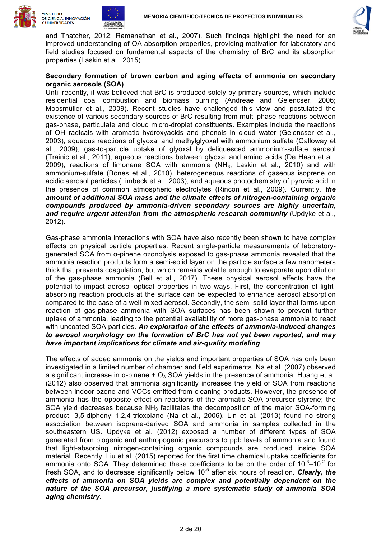





and Thatcher, 2012; Ramanathan et al., 2007). Such findings highlight the need for an improved understanding of OA absorption properties, providing motivation for laboratory and field studies focused on fundamental aspects of the chemistry of BrC and its absorption properties (Laskin et al., 2015).

# **Secondary formation of brown carbon and aging effects of ammonia on secondary organic aerosols (SOA)**

Until recently, it was believed that BrC is produced solely by primary sources, which include residential coal combustion and biomass burning (Andreae and Gelencser, 2006; Moosmüller et al., 2009). Recent studies have challenged this view and postulated the existence of various secondary sources of BrC resulting from multi-phase reactions between gas-phase, particulate and cloud micro-droplet constituents. Examples include the reactions of OH radicals with aromatic hydroxyacids and phenols in cloud water (Gelencser et al., 2003), aqueous reactions of glyoxal and methylglyoxal with ammonium sulfate (Galloway et al., 2009), gas-to-particle uptake of glyoxal by deliquesced ammonium-sulfate aerosol (Trainic et al., 2011), aqueous reactions between glyoxal and amino acids (De Haan et al., 2009), reactions of limonene SOA with ammonia ( $NH<sub>3</sub>$ ; Laskin et al., 2010) and with ammonium-sulfate (Bones et al., 2010), heterogeneous reactions of gaseous isoprene on acidic aerosol particles (Limbeck et al., 2003), and aqueous photochemistry of pyruvic acid in the presence of common atmospheric electrolytes (Rincon et al., 2009). Currently, *the amount of additional SOA mass and the climate effects of nitrogen-containing organic compounds produced by ammonia-driven secondary sources are highly uncertain, and require urgent attention from the atmospheric research community* (Updyke et al., 2012).

Gas-phase ammonia interactions with SOA have also recently been shown to have complex effects on physical particle properties. Recent single-particle measurements of laboratorygenerated SOA from α-pinene ozonolysis exposed to gas-phase ammonia revealed that the ammonia reaction products form a semi-solid layer on the particle surface a few nanometers thick that prevents coagulation, but which remains volatile enough to evaporate upon dilution of the gas-phase ammonia (Bell et al., 2017). These physical aerosol effects have the potential to impact aerosol optical properties in two ways. First, the concentration of lightabsorbing reaction products at the surface can be expected to enhance aerosol absorption compared to the case of a well-mixed aerosol. Secondly, the semi-solid layer that forms upon reaction of gas-phase ammonia with SOA surfaces has been shown to prevent further uptake of ammonia, leading to the potential availability of more gas-phase ammonia to react with uncoated SOA particles. *An exploration of the effects of ammonia-induced changes to aerosol morphology on the formation of BrC has not yet been reported, and may have important implications for climate and air-quality modeling*.

The effects of added ammonia on the yields and important properties of SOA has only been investigated in a limited number of chamber and field experiments. Na et al. (2007) observed a significant increase in  $\alpha$ -pinene +  $\alpha$ <sub>3</sub> SOA yields in the presence of ammonia. Huang et al. (2012) also observed that ammonia significantly increases the yield of SOA from reactions between indoor ozone and VOCs emitted from cleaning products. However, the presence of ammonia has the opposite effect on reactions of the aromatic SOA-precursor styrene; the SOA yield decreases because  $NH<sub>3</sub>$  facilitates the decomposition of the major SOA-forming product, 3,5-diphenyl-1,2,4-trioxolane (Na et al., 2006). Lin et al. (2013) found no strong association between isoprene-derived SOA and ammonia in samples collected in the southeastern US. Updyke et al. (2012) exposed a number of different types of SOA generated from biogenic and anthropogenic precursors to ppb levels of ammonia and found that light-absorbing nitrogen-containing organic compounds are produced inside SOA material. Recently, Liu et al. (2015) reported for the first time chemical uptake coefficients for ammonia onto SOA. They determined these coefficients to be on the order of  $10^{-3}-10^{-2}$  for fresh SOA, and to decrease significantly below 10<sup>-5</sup> after six hours of reaction. **Clearly, the** *effects of ammonia on SOA yields are complex and potentially dependent on the nature of the SOA precursor, justifying a more systematic study of ammonia–SOA aging chemistry*.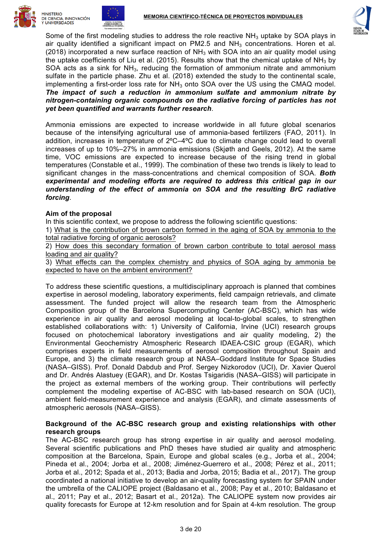





Some of the first modeling studies to address the role reactive  $NH<sub>3</sub>$  uptake by SOA plays in air quality identified a significant impact on  $PM2.5$  and  $NH<sub>3</sub>$  concentrations. Horen et al. (2018) incorporated a new surface reaction of  $NH<sub>3</sub>$  with SOA into an air quality model using the uptake coefficients of Liu et al. (2015). Results show that the chemical uptake of  $NH<sub>3</sub>$  by SOA acts as a sink for NH3, reducing the formation of ammonium nitrate and ammonium sulfate in the particle phase. Zhu et al. (2018) extended the study to the continental scale, implementing a first-order loss rate for  $NH<sub>3</sub>$  onto SOA over the US using the CMAQ model. *The impact of such a reduction in ammonium sulfate and ammonium nitrate by nitrogen-containing organic compounds on the radiative forcing of particles has not yet been quantified and warrants further research*.

Ammonia emissions are expected to increase worldwide in all future global scenarios because of the intensifying agricultural use of ammonia-based fertilizers (FAO, 2011). In addition, increases in temperature of 2ºC–4ºC due to climate change could lead to overall increases of up to 10%–27% in ammonia emissions (Skjøth and Geels, 2012). At the same time, VOC emissions are expected to increase because of the rising trend in global temperatures (Constable et al., 1999). The combination of these two trends is likely to lead to significant changes in the mass-concentrations and chemical composition of SOA. *Both experimental and modeling efforts are required to address this critical gap in our understanding of the effect of ammonia on SOA and the resulting BrC radiative forcing*.

# **Aim of the proposal**

In this scientific context, we propose to address the following scientific questions:

1) What is the contribution of brown carbon formed in the aging of SOA by ammonia to the total radiative forcing of organic aerosols?

2) How does this secondary formation of brown carbon contribute to total aerosol mass loading and air quality?

3) What effects can the complex chemistry and physics of SOA aging by ammonia be expected to have on the ambient environment?

To address these scientific questions, a multidisciplinary approach is planned that combines expertise in aerosol modeling, laboratory experiments, field campaign retrievals, and climate assessment. The funded project will allow the research team from the Atmospheric Composition group of the Barcelona Supercomputing Center (AC-BSC), which has wide experience in air quality and aerosol modeling at local-to-global scales, to strengthen established collaborations with: 1) University of California, Irvine (UCI) research groups focused on photochemical laboratory investigations and air quality modeling, 2) the Environmental Geochemistry Atmospheric Research IDAEA-CSIC group (EGAR), which comprises experts in field measurements of aerosol composition throughout Spain and Europe, and 3) the climate research group at NASA–Goddard Institute for Space Studies (NASA–GISS). Prof. Donald Dabdub and Prof. Sergey Nizkorodov (UCI), Dr. Xavier Querol and Dr. Andrés Alastuey (EGAR), and Dr. Kostas Tsigaridis (NASA–GISS) will participate in the project as external members of the working group. Their contributions will perfectly complement the modeling expertise of AC-BSC with lab-based research on SOA (UCI), ambient field-measurement experience and analysis (EGAR), and climate assessments of atmospheric aerosols (NASA–GISS).

#### **Background of the AC-BSC research group and existing relationships with other research groups**

The AC-BSC research group has strong expertise in air quality and aerosol modeling. Several scientific publications and PhD theses have studied air quality and atmospheric composition at the Barcelona, Spain, Europe and global scales (e.g., Jorba et al., 2004; Pineda et al., 2004; Jorba et al., 2008; Jiménez-Guerrero et al., 2008; Pérez et al., 2011; Jorba et al., 2012; Spada et al., 2013; Badia and Jorba, 2015; Badia et al., 2017). The group coordinated a national initiative to develop an air-quality forecasting system for SPAIN under the umbrella of the CALIOPE project (Baldasano et al., 2008; Pay et al., 2010; Baldasano et al., 2011; Pay et al., 2012; Basart et al., 2012a). The CALIOPE system now provides air quality forecasts for Europe at 12-km resolution and for Spain at 4-km resolution. The group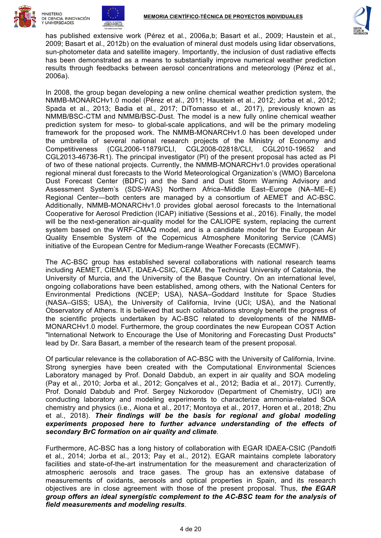





has published extensive work (Pérez et al., 2006a,b; Basart et al., 2009; Haustein et al., 2009; Basart et al., 2012b) on the evaluation of mineral dust models using lidar observations, sun-photometer data and satellite imagery. Importantly, the inclusion of dust radiative effects has been demonstrated as a means to substantially improve numerical weather prediction results through feedbacks between aerosol concentrations and meteorology (Pérez et al., 2006a).

In 2008, the group began developing a new online chemical weather prediction system, the NMMB-MONARCHv1.0 model (Pérez et al., 2011; Haustein et al., 2012; Jorba et al., 2012; Spada et al., 2013; Badia et al., 2017; DiTomasso et al., 2017), previously known as NMMB/BSC-CTM and NMMB/BSC-Dust. The model is a new fully online chemical weather prediction system for meso- to global-scale applications, and will be the primary modeling framework for the proposed work. The NMMB-MONARCHv1.0 has been developed under the umbrella of several national research projects of the Ministry of Economy and Competitiveness (CGL2006-11879/CLI, CGL2008-02818/CLI, CGL2010-19652 and CGL2013-46736-R1). The principal investigator (PI) of the present proposal has acted as PI of two of these national projects. Currently, the NMMB-MONARCHv1.0 provides operational regional mineral dust forecasts to the World Meteorological Organization's (WMO) Barcelona Dust Forecast Center (BDFC) and the Sand and Dust Storm Warning Advisory and Assessment System's (SDS-WAS) Northern Africa–Middle East–Europe (NA–ME–E) Regional Center—both centers are managed by a consortium of AEMET and AC-BSC. Additionally, NMMB-MONARCHv1.0 provides global aerosol forecasts to the International Cooperative for Aerosol Prediction (ICAP) initiative (Sessions et al., 2016). Finally, the model will be the next-generation air-quality model for the CALIOPE system, replacing the current system based on the WRF-CMAQ model, and is a candidate model for the European Air Quality Ensemble System of the Copernicus Atmosphere Monitoring Service (CAMS) initiative of the European Centre for Medium-range Weather Forecasts (ECMWF).

The AC-BSC group has established several collaborations with national research teams including AEMET, CIEMAT, IDAEA-CSIC, CEAM, the Technical University of Catalonia, the University of Murcia, and the University of the Basque Country. On an international level, ongoing collaborations have been established, among others, with the National Centers for Environmental Predictions (NCEP; USA), NASA–Goddard Institute for Space Studies (NASA–GISS; USA), the University of California, Irvine (UCI; USA), and the National Observatory of Athens. It is believed that such collaborations strongly benefit the progress of the scientific projects undertaken by AC-BSC related to developments of the NMMB-MONARCHv1.0 model. Furthermore, the group coordinates the new European COST Action "International Network to Encourage the Use of Monitoring and Forecasting Dust Products" lead by Dr. Sara Basart, a member of the research team of the present proposal.

Of particular relevance is the collaboration of AC-BSC with the University of California, Irvine. Strong synergies have been created with the Computational Environmental Sciences Laboratory managed by Prof. Donald Dabdub, an expert in air quality and SOA modeling (Pay et al., 2010; Jorba et al., 2012; Gonçalves et al., 2012; Badia et al., 2017). Currently, Prof. Donald Dabdub and Prof. Sergey Nizkorodov (Department of Chemistry, UCI) are conducting laboratory and modeling experiments to characterize ammonia-related SOA chemistry and physics (i.e., Aiona et al., 2017; Montoya et al., 2017, Horen et al., 2018; Zhu et al., 2018). *Their findings will be the basis for regional and global modeling experiments proposed here to further advance understanding of the effects of secondary BrC formation on air quality and climate*.

Furthermore, AC-BSC has a long history of collaboration with EGAR IDAEA-CSIC (Pandolfi et al., 2014; Jorba et al., 2013; Pay et al., 2012). EGAR maintains complete laboratory facilities and state-of-the-art instrumentation for the measurement and characterization of atmospheric aerosols and trace gases. The group has an extensive database of measurements of oxidants, aerosols and optical properties in Spain, and its research objectives are in close agreement with those of the present proposal. Thus, *the EGAR group offers an ideal synergistic complement to the AC-BSC team for the analysis of field measurements and modeling results*.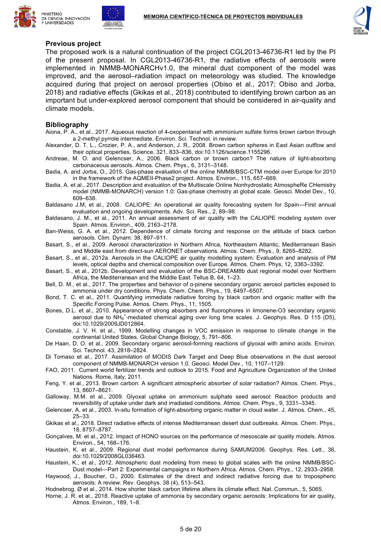





#### **Previous project**

The proposed work is a natural continuation of the project CGL2013-46736-R1 led by the PI of the present proposal. In CGL2013-46736-R1, the radiative effects of aerosols were implemented in NMMB-MONARCHv1.0, the mineral dust component of the model was improved, and the aerosol–radiation impact on meteorology was studied. The knowledge acquired during that project on aerosol properties (Obiso et al., 2017; Obiso and Jorba, 2018) and radiative effects (Gkikas et al., 2018) contributed to identifying brown carbon as an important but under-explored aerosol component that should be considered in air-quality and climate models.

#### **Bibliography**

- Aiona, P. A., et al., 2017. Aqueous reaction of 4-oxopentanal with ammonium sulfate forms brown carbon through a 2-methyl pyrrole intermediate. Environ. Sci. Technol. in review.
- Alexander, D. T. L., Crozier, P. A., and Anderson, J. R., 2008. Brown carbon spheres in East Asian outflow and their optical properties, Science, 321, 833–836, doi:10.1126/science.1155296.
- Andreae, M. O. and Gelencser, A., 2006. Black carbon or brown carbon? The nature of light-absorbing carbonaceous aerosols. Atmos. Chem. Phys., 6, 3131–3148.
- Badia, A. and Jorba, O., 2015. Gas-phase evaluation of the online NMMB/BSC-CTM model over Europe for 2010 in the framework of the AQMEII-Phase2 project. Atmos. Environ., 115, 657–669.
- Badia, A. et al., 2017. Description and evaluation of the Multiscale Online Nonhydrostatic AtmospheRe CHemistry model (NMMB-MONARCH) version 1.0: Gas-phase chemistry at global scale. Geosci. Model Dev., 10, 609–638.
- Baldasano J.M, et al., 2008. CALIOPE: An operational air quality forecasting system for Spain—First annual evaluation and ongoing developments. Adv. Sci. Res., 2, 89–98.
- Baldasano, J. M., et al., 2011. An annual assessment of air quality with the CALIOPE modeling system over Spain. Atmos. Environ., 409, 2163–2178.
- Ban-Weiss, G. A. et al., 2012. Dependence of climate forcing and response on the altitude of black carbon aerosols. Clim. Dynam. 38, 897–911.
- Basart, S., et al., 2009. Aerosol characterization in Northern Africa, Northeastern Atlantic, Mediterranean Basin and Middle east from direct-sun AERONET observations. Atmos. Chem. Phys., 9, 8265–8282.
- Basart, S., et al., 2012a. Aerosols in the CALIOPE air quality modelling system: Evaluation and analysis of PM levels, optical depths and chemical composition over Europe. Atmos. Chem. Phys, 12, 3363–3392.
- Basart, S., et al., 2012b. Development and evaluation of the BSC-DREAM8b dust regional model over Northern Africa, the Mediterranean and the Middle East. Tellus B, 64, 1–23.
- Bell, D. M., et al., 2017. The properties and behavior of ɑ-pinene secondary organic aerosol particles exposed to ammonia under dry conditions. Phys. Chem. Chem. Phys., 19, 6497–6507.
- Bond, T. C. et al., 2011. Quantifying immediate radiative forcing by black carbon and organic matter with the Specific Forcing Pulse. Atmos. Chem. Phys., 11, 1505.
- Bones, D.L. et al., 2010. Appearance of strong absorbers and fluorophores in limonene-O3 secondary organic aerosol due to NH<sub>4</sub><sup>+</sup>-mediated chemical aging over long time scales. J. Geophys. Res. D 115 (D5), doi:10.1029/2009JD012864.
- Constable, J. V. H. et al., 1999. Modelling changes in VOC emission in response to climate change in the continental United States. Global Change Biology, 5, 791–806.
- De Haan, D. O. et al., 2009. Secondary organic aerosol-forming reactions of glyoxal with amino acids. Environ. Sci. Technol. 43, 2818–2824.
- Di Tomaso et al., 2017. Assimilation of MODIS Dark Target and Deep Blue observations in the dust aerosol component of NMMB-MONARCH version 1.0. Geosci. Model Dev., 10, 1107–1129.
- FAO, 2011. Current world fertilizer trends and outlook to 2015. Food and Agriculture Organization of the United Nations. Rome, Italy, 2011.
- Feng, Y. et al., 2013. Brown carbon: A significant atmospheric absorber of solar radiation? Atmos. Chem. Phys., 13, 8607–8621.
- Galloway, M.M. et al., 2009. Glyoxal uptake on ammonium sulphate seed aerosol: Reaction products and reversibility of uptake under dark and irradiated conditions. Atmos. Chem. Phys., 9, 3331–3345.
- Gelencser, A. et al., 2003. In-situ formation of light-absorbing organic matter in cloud water. J. Atmos. Chem., 45, 25–33.
- Gkikas et al., 2018. Direct radiative effects of intense Mediterranean desert dust outbreaks. Atmos. Chem. Phys., 18, 8757–8787.
- Gonçalves, M. et al., 2012. Impact of HONO sources on the performance of mesoscale air quality models. Atmos. Environ., 54, 168–176.
- Haustein, K. et al., 2009. Regional dust model performance during SAMUM2006. Geophys. Res. Lett., 36, doi:10.1029/2008GL036463.
- Haustein, K., et al., 2012. Atmospheric dust modeling from meso to global scales with the online NMMB/BSC-Dust model—Part 2: Experimental campaigns in Northern Africa. Atmos. Chem. Phys., 12, 2933–2958.
- Haywood, J., Boucher, O., 2000. Estimates of the direct and indirect radiative forcing due to tropospheric aerosols: A review. Rev. Geophys. 38 (4), 513–543.
- Hodnebrog, Ø et al., 2014. How shorter black carbon lifetime alters its climate effect. Nat. Commun., 5, 5065.
- Horne, J. R. et al., 2018. Reactive uptake of ammonia by secondary organic aerosols: Implications for air quality, Atmos. Environ., 189, 1–8.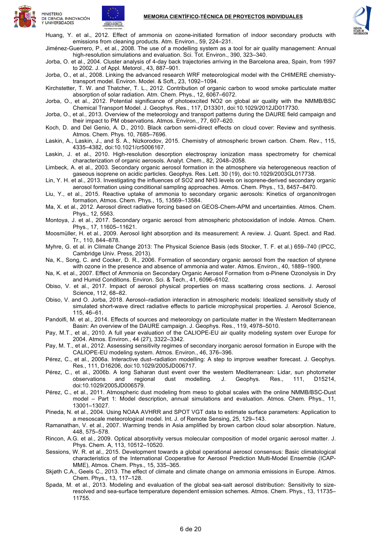





Huang, Y. et al., 2012. Effect of ammonia on ozone-initiated formation of indoor secondary products with emissions from cleaning products. Atm. Environ., 59, 224–231.

Jiménez-Guerrero, P., et al., 2008. The use of a modelling system as a tool for air quality management: Annual high-resolution simulations and evaluation. Sci. Tot. Environ., 390, 323–340.

Jorba, O. et al., 2004. Cluster analysis of 4-day back trajectories arriving in the Barcelona area, Spain, from 1997 to 2002. J. of Appl. Metorol., 43, 887–901.

Jorba, O., et al., 2008. Linking the advanced research WRF meteorological model with the CHIMERE chemistrytransport model. Environ. Model. & Soft., 23, 1092–1094.

Kirchstetter, T. W. and Thatcher, T. L., 2012. Contribution of organic carbon to wood smoke particulate matter absorption of solar radiation. Atm. Chem. Phys., 12, 6067–6072.

Jorba, O., et al., 2012. Potential significance of photoexcited NO2 on global air quality with the NMMB/BSC Chemical Transport Model. J. Geophys. Res., 117, D13301, doi:10.1029/2012JD017730.

Jorba, O., et al., 2013. Overview of the meteorology and transport patterns during the DAURE field campaign and their impact to PM observations. Atmos. Environ., 77, 607–620.

Koch, D. and Del Genio, A. D., 2010. Black carbon semi-direct effects on cloud cover: Review and synthesis. Atmos. Chem. Phys. 10, 7685–7696.

Laskin, A., Laskin, J., and S. A., Nizkorodov, 2015. Chemistry of atmospheric brown carbon. Chem. Rev., 115, 4335–4382, doi:10.1021/cr5006167.

Laskin, J. et al., 2010. High-resolution desorption electrospray ionization mass spectrometry for chemical characterization of organic aerosols. Analyt. Chem., 82, 2048–2058.

Limbeck, A. et al., 2003. Secondary organic aerosol formation in the atmosphere via heterogeneous reaction of gaseous isoprene on acidic particles. Geophys. Res. Lett. 30 (19), doi:10.1029/2003GL017738.

Lin, Y. H. et al., 2013. Investigating the influences of SO2 and NH3 levels on isoprene-derived secondary organic aerosol formation using conditional sampling approaches. Atmos. Chem. Phys., 13, 8457–8470.

Liu, Y., et al., 2015. Reactive uptake of ammonia to secondary organic aerosols: Kinetics of organonitrogen formation, Atmos. Chem. Phys., 15, 13569–13584.

Ma, X. et al., 2012. Aerosol direct radiative forcing based on GEOS-Chem-APM and uncertainties. Atmos. Chem. Phys., 12, 5563.

Montoya, J. et al., 2017. Secondary organic aerosol from atmospheric photooxidation of indole. Atmos. Chem. Phys., 17, 11605–11621.

Moosmüller, H. et al., 2009. Aerosol light absorption and its measurement: A review. J. Quant. Spect. and Rad. Tr., 110, 844–878.

Myhre, G. et al. in Climate Change 2013: The Physical Science Basis (eds Stocker, T. F. et al.) 659–740 (IPCC, Cambridge Univ. Press, 2013).

Na, K., Song, C. and Cocker, D. R., 2006. Formation of secondary organic aerosol from the reaction of styrene with ozone in the presence and absence of ammonia and water. Atmos. Environ., 40, 1889–1900.

Na, K. et al., 2007. Effect of Ammonia on Secondary Organic Aerosol Formation from α-Pinene Ozonolysis in Dry and Humid Conditions. Environ. Sci. & Tech., 41, 6096–6102.

- Obiso, V. et al., 2017. Impact of aerosol physical properties on mass scattering cross sections. J. Aerosol Science, 112, 68–82.
- Obiso, V. and O. Jorba, 2018. Aerosol–radiation interaction in atmospheric models: Idealized sensitivity study of simulated short-wave direct radiative effects to particle microphysical properties. J. Aerosol Science, 115, 46–61.

Pandolfi, M. et al., 2014. Effects of sources and meteorology on particulate matter in the Western Mediterranean Basin: An overview of the DAURE campaign. J. Geophys. Res., 119, 4978–5010.

Pay, M.T., et al., 2010. A full year evaluation of the CALIOPE-EU air quality modeling system over Europe for 2004. Atmos. Environ., 44 (27), 3322–3342.

Pay, M. T., et al., 2012. Assessing sensitivity regimes of secondary inorganic aerosol formation in Europe with the CALIOPE-EU modeling system. Atmos. Environ., 46, 376–396.

Pérez, C., et al., 2006a. Interactive dust–radiation modelling: A step to improve weather forecast. J. Geophys. Res., 111, D16206, doi:10.1029/2005JD006717.

Pérez, C., et al., 2006b. A long Saharan dust event over the western Mediterranean: Lidar, sun photometer observations and regional dust modelling. J. Geophys. Res., 111, D15214, doi:10.1029/2005JD006579.

Pérez, C., et al., 2011. Atmospheric dust modeling from meso to global scales with the online NMMB/BSC-Dust model – Part 1: Model description, annual simulations and evaluation. Atmos. Chem. Phys., 11, 13001–13027.

Pineda, N. et al., 2004. Using NOAA AVHRR and SPOT VGT data to estimate surface parameters: Application to a mesoscale meteorological model. Int. J. of Remote Sensing, 25, 129–143.

Ramanathan, V. et al., 2007. Warming trends in Asia amplified by brown carbon cloud solar absorption. Nature, 448, 575–578.

Rincon, A.G. et al., 2009. Optical absorptivity versus molecular composition of model organic aerosol matter. J. Phys. Chem. A, 113, 10512–10520.

Sessions, W. R. et al., 2015. Development towards a global operational aerosol consensus: Basic climatological characteristics of the International Cooperative for Aerosol Prediction Multi-Model Ensemble (ICAP-MME), Atmos. Chem. Phys., 15, 335–365.

Skjøth C.A., Geels C., 2013. The effect of climate and climate change on ammonia emissions in Europe. Atmos. Chem. Phys., 13, 117–128.

Spada, M. et al., 2013. Modeling and evaluation of the global sea-salt aerosol distribution: Sensitivity to sizeresolved and sea-surface temperature dependent emission schemes. Atmos. Chem. Phys., 13, 11735– 11755.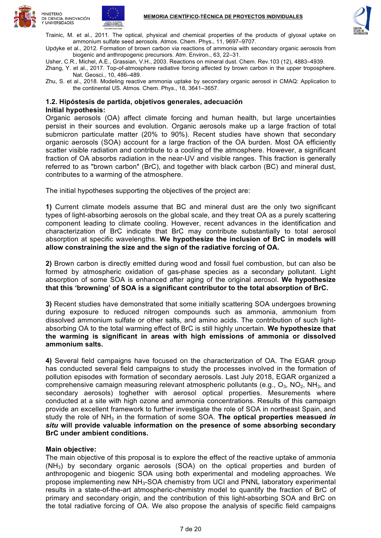





Trainic, M. et al., 2011. The optical, physical and chemical properties of the products of glyoxal uptake on ammonium sulfate seed aerosols. Atmos. Chem. Phys., 11, 9697–9707.

Updyke et al., 2012. Formation of brown carbon via reactions of ammonia with secondary organic aerosols from biogenic and anthropogenic precursors. Atm. Environ., 63, 22–31.

Usher, C.R., Michel, A.E., Grassian, V.H., 2003. Reactions on mineral dust. Chem. Rev.103 (12), 4883–4939.

Zhang, Y. et al., 2017. Top-of-atmosphere radiative forcing affected by brown carbon in the upper troposphere. Nat. Geosci., 10, 486–489.

Zhu, S. et al., 2018. Modeling reactive ammonia uptake by secondary organic aerosol in CMAQ: Application to the continental US. Atmos. Chem. Phys., 18, 3641–3657.

#### **1.2. Hipóstesis de partida, objetivos generales, adecuación Initial hypothesis:**

Organic aerosols (OA) affect climate forcing and human health, but large uncertainties persist in their sources and evolution. Organic aerosols make up a large fraction of total submicron particulate matter (20% to 90%). Recent studies have shown that secondary organic aerosols (SOA) account for a large fraction of the OA burden. Most OA efficiently scatter visible radiation and contribute to a cooling of the atmosphere. However, a significant fraction of OA absorbs radiation in the near-UV and visible ranges. This fraction is generally referred to as "brown carbon" (BrC), and together with black carbon (BC) and mineral dust, contributes to a warming of the atmosphere.

The initial hypotheses supporting the objectives of the project are:

**1)** Current climate models assume that BC and mineral dust are the only two significant types of light-absorbing aerosols on the global scale, and they treat OA as a purely scattering component leading to climate cooling. However, recent advances in the identification and characterization of BrC indicate that BrC may contribute substantially to total aerosol absorption at specific wavelengths. **We hypothesize the inclusion of BrC in models will allow constraining the size and the sign of the radiative forcing of OA.**

**2)** Brown carbon is directly emitted during wood and fossil fuel combustion, but can also be formed by atmospheric oxidation of gas-phase species as a secondary pollutant. Light absorption of some SOA is enhanced after aging of the original aerosol. **We hypothesize that this 'browning' of SOA is a significant contributor to the total absorption of BrC.**

**3)** Recent studies have demonstrated that some initially scattering SOA undergoes browning during exposure to reduced nitrogen compounds such as ammonia, ammonium from dissolved ammonium sulfate or other salts, and amino acids. The contribution of such lightabsorbing OA to the total warming effect of BrC is still highly uncertain. **We hypothesize that the warming is significant in areas with high emissions of ammonia or dissolved ammonium salts.**

**4)** Several field campaigns have focused on the characterization of OA. The EGAR group has conducted several field campaigns to study the processes involved in the formation of pollution episodes with formation of secondary aerosols. Last July 2018, EGAR organized a comprehensive camaign measuring relevant atmospheric pollutants (e.g.,  $O_3$ ,  $NO_2$ ,  $NH_3$ , and secondary aerosols) toghether with aerosol optical properties. Mesurements where conducted at a site with high ozone and ammonia concentrations. Results of this campaign provide an excellent framework to further investigate the role of SOA in northeast Spain, and study the role of NH3 in the formation of some SOA. **The optical properties measued** *in situ* **will provide valuable information on the presence of some absorbing secondary BrC under ambient conditions.**

# **Main objective:**

The main objective of this proposal is to explore the effect of the reactive uptake of ammonia  $(NH<sub>3</sub>)$  by secondary organic aerosols (SOA) on the optical properties and burden of anthropogenic and biogenic SOA using both experimental and modeling approaches. We propose implementing new NH3-SOA chemistry from UCI and PNNL laboratory experimental results in a state-of-the-art atmospheric-chemistry model to quantify the fraction of BrC of primary and secondary origin, and the contribution of this light-absorbing SOA and BrC on the total radiative forcing of OA. We also propose the analysis of specific field campaigns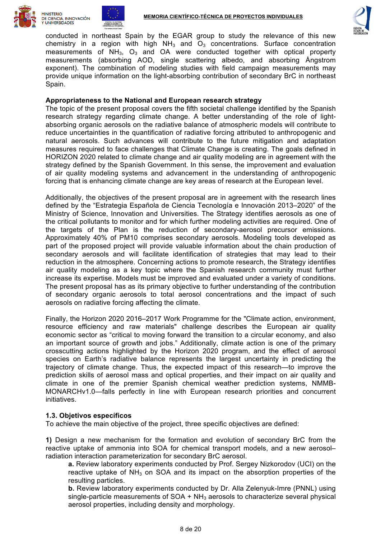

**UNIVERSIDADES** 





conducted in northeast Spain by the EGAR group to study the relevance of this new chemistry in a region with high  $NH<sub>3</sub>$  and  $O<sub>3</sub>$  concentrations. Surface concentration measurements of  $NH_3$ ,  $O_3$  and OA were conducted together with optical property measurements (absorbing AOD, single scattering albedo, and absorbing Ångstrom exponent). The combination of modeling studies with field campaign measurements may provide unique information on the light-absorbing contribution of secondary BrC in northeast Spain.

#### **Appropriateness to the National and European research strategy**

The topic of the present proposal covers the fifth societal challenge identified by the Spanish research strategy regarding climate change. A better understanding of the role of lightabsorbing organic aerosols on the radiative balance of atmospheric models will contribute to reduce uncertainties in the quantification of radiative forcing attributed to anthropogenic and natural aerosols. Such advances will contribute to the future mitigation and adaptation measures required to face challenges that Climate Change is creating. The goals defined in HORIZON 2020 related to climate change and air quality modeling are in agreement with the strategy defined by the Spanish Government. In this sense, the improvement and evaluation of air quality modeling systems and advancement in the understanding of anthropogenic forcing that is enhancing climate change are key areas of research at the European level.

Additionally, the objectives of the present proposal are in agreement with the research lines defined by the "Estrategia Española de Ciencia Tecnología e Innovación 2013–2020" of the Ministry of Science, Innovation and Universities. The Strategy identifies aerosols as one of the critical pollutants to monitor and for which further modeling activities are required. One of the targets of the Plan is the reduction of secondary-aerosol precursor emissions. Approximately 40% of PM10 comprises secondary aerosols. Modeling tools developed as part of the proposed project will provide valuable information about the chain production of secondary aerosols and will facilitate identification of strategies that may lead to their reduction in the atmosphere. Concerning actions to promote research, the Strategy identifies air quality modeling as a key topic where the Spanish research community must further increase its expertise. Models must be improved and evaluated under a variety of conditions. The present proposal has as its primary objective to further understanding of the contribution of secondary organic aerosols to total aerosol concentrations and the impact of such aerosols on radiative forcing affecting the climate.

Finally, the Horizon 2020 2016–2017 Work Programme for the "Climate action, environment, resource efficiency and raw materials" challenge describes the European air quality economic sector as "critical to moving forward the transition to a circular economy, and also an important source of growth and jobs." Additionally, climate action is one of the primary crosscutting actions highlighted by the Horizon 2020 program, and the effect of aerosol species on Earth's radiative balance represents the largest uncertainty in predicting the trajectory of climate change. Thus, the expected impact of this research—to improve the prediction skills of aerosol mass and optical properties, and their impact on air quality and climate in one of the premier Spanish chemical weather prediction systems, NMMB-MONARCHv1.0—falls perfectly in line with European research priorities and concurrent initiatives.

# **1.3. Objetivos específicos**

To achieve the main objective of the project, three specific objectives are defined:

**1)** Design a new mechanism for the formation and evolution of secondary BrC from the reactive uptake of ammonia into SOA for chemical transport models, and a new aerosol– radiation interaction parameterization for secondary BrC aerosol.

**a.** Review laboratory experiments conducted by Prof. Sergey Nizkorodov (UCI) on the reactive uptake of  $NH<sub>3</sub>$  on SOA and its impact on the absorption properties of the resulting particles.

**b.** Review laboratory experiments conducted by Dr. Alla Zelenyuk-Imre (PNNL) using single-particle measurements of  $SOA + NH<sub>3</sub>$  aerosols to characterize several physical aerosol properties, including density and morphology.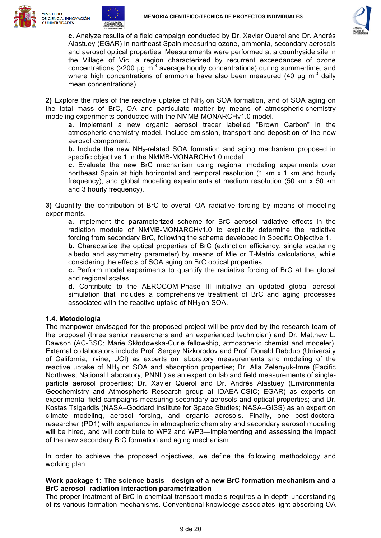





**c.** Analyze results of a field campaign conducted by Dr. Xavier Querol and Dr. Andrés Alastuey (EGAR) in northeast Spain measuring ozone, ammonia, secondary aerosols and aerosol optical properties. Measurements were performed at a countryside site in the Village of Vic, a region characterized by recurrent exceedances of ozone concentrations ( $>$ 200 µg m<sup>-3</sup> average hourly concentrations) during summertime, and where high concentrations of ammonia have also been measured (40  $\mu$ g m<sup>-3</sup> daily mean concentrations).

**2)** Explore the roles of the reactive uptake of NH<sub>3</sub> on SOA formation, and of SOA aging on the total mass of BrC, OA and particulate matter by means of atmospheric-chemistry modeling experiments conducted with the NMMB-MONARCHv1.0 model.

**a.** Implement a new organic aerosol tracer labelled "Brown Carbon" in the atmospheric-chemistry model. Include emission, transport and deposition of the new aerosol component.

**b.** Include the new NH<sub>3</sub>-related SOA formation and aging mechanism proposed in specific objective 1 in the NMMB-MONARCHv1.0 model.

**c.** Evaluate the new BrC mechanism using regional modeling experiments over northeast Spain at high horizontal and temporal resolution (1 km x 1 km and hourly frequency), and global modeling experiments at medium resolution (50 km x 50 km and 3 hourly frequency).

**3)** Quantify the contribution of BrC to overall OA radiative forcing by means of modeling experiments.

**a.** Implement the parameterized scheme for BrC aerosol radiative effects in the radiation module of NMMB-MONARCHv1.0 to explicitly determine the radiative forcing from secondary BrC, following the scheme developed in Specific Objective 1.

**b.** Characterize the optical properties of BrC (extinction efficiency, single scattering albedo and asymmetry parameter) by means of Mie or T-Matrix calculations, while considering the effects of SOA aging on BrC optical properties.

**c.** Perform model experiments to quantify the radiative forcing of BrC at the global and regional scales.

**d.** Contribute to the AEROCOM-Phase III initiative an updated global aerosol simulation that includes a comprehensive treatment of BrC and aging processes associated with the reactive uptake of  $NH<sub>3</sub>$  on SOA.

# **1.4. Metodología**

The manpower envisaged for the proposed project will be provided by the research team of the proposal (three senior researchers and an experienced technician) and Dr. Matthew L. Dawson (AC-BSC; Marie Skłodowska-Curie fellowship, atmospheric chemist and modeler). External collaborators include Prof. Sergey Nizkorodov and Prof. Donald Dabdub (University of California, Irvine; UCI) as experts on laboratory measurements and modeling of the reactive uptake of NH3 on SOA and absorption properties; Dr. Alla Zelenyuk-Imre (Pacific Northwest National Laboratory; PNNL) as an expert on lab and field measurements of singleparticle aerosol properties; Dr. Xavier Querol and Dr. Andrés Alastuey (Environmental Geochemistry and Atmospheric Research group at IDAEA-CSIC; EGAR) as experts on experimental field campaigns measuring secondary aerosols and optical properties; and Dr. Kostas Tsigaridis (NASA–Goddard Institute for Space Studies; NASA–GISS) as an expert on climate modeling, aerosol forcing, and organic aerosols. Finally, one post-doctoral researcher (PD1) with experience in atmospheric chemistry and secondary aerosol modeling will be hired, and will contribute to WP2 and WP3—implementing and assessing the impact of the new secondary BrC formation and aging mechanism.

In order to achieve the proposed objectives, we define the following methodology and working plan:

# **Work package 1: The science basis—design of a new BrC formation mechanism and a BrC aerosol–radiation interaction parametrization**

The proper treatment of BrC in chemical transport models requires a in-depth understanding of its various formation mechanisms. Conventional knowledge associates light-absorbing OA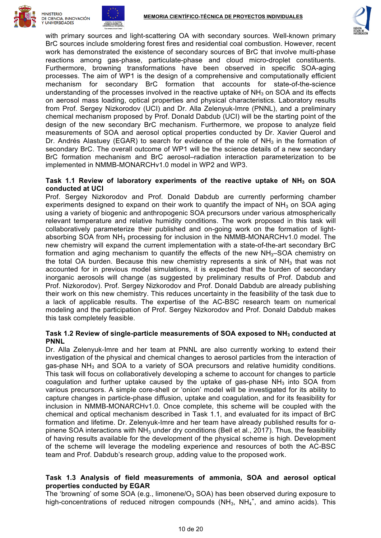





with primary sources and light-scattering OA with secondary sources. Well-known primary BrC sources include smoldering forest fires and residential coal combustion. However, recent work has demonstrated the existence of secondary sources of BrC that involve multi-phase reactions among gas-phase, particulate-phase and cloud micro-droplet constituents. Furthermore, browning transformations have been observed in specific SOA-aging processes. The aim of WP1 is the design of a comprehensive and computationally efficient mechanism for secondary BrC formation that accounts for state-of-the-science understanding of the processes involved in the reactive uptake of  $NH<sub>3</sub>$  on SOA and its effects on aerosol mass loading, optical properties and physical characteristics. Laboratory results from Prof. Sergey Nizkorodov (UCI) and Dr. Alla Zelenyuk-Imre (PNNL), and a preliminary chemical mechanism proposed by Prof. Donald Dabdub (UCI) will be the starting point of the design of the new secondary BrC mechanism. Furthermore, we propose to analyze field measurements of SOA and aerosol optical properties conducted by Dr. Xavier Querol and Dr. Andrés Alastuey (EGAR) to search for evidence of the role of  $NH<sub>3</sub>$  in the formation of secondary BrC. The overall outcome of WP1 will be the science details of a new secondary BrC formation mechanism and BrC aerosol–radiation interaction parameterization to be implemented in NMMB-MONARCHv1.0 model in WP2 and WP3.

#### **Task 1.1 Review of laboratory experiments of the reactive uptake of NH3 on SOA conducted at UCI**

Prof. Sergey Nizkorodov and Prof. Donald Dabdub are currently performing chamber experiments designed to expand on their work to quantify the impact of  $NH<sub>3</sub>$  on SOA aging using a variety of biogenic and anthropogenic SOA precursors under various atmospherically relevant temperature and relative humidity conditions. The work proposed in this task will collaboratively parameterize their published and on-going work on the formation of lightabsorbing SOA from NH<sub>3</sub> processing for inclusion in the NMMB-MONARCHv1.0 model. The new chemistry will expand the current implementation with a state-of-the-art secondary BrC formation and aging mechanism to quantify the effects of the new  $NH<sub>3</sub>$ –SOA chemistry on the total OA burden. Because this new chemistry represents a sink of  $NH<sub>3</sub>$  that was not accounted for in previous model simulations, it is expected that the burden of secondary inorganic aerosols will change (as suggested by preliminary results of Prof. Dabdub and Prof. Nizkorodov). Prof. Sergey Nizkorodov and Prof. Donald Dabdub are already publishing their work on this new chemistry. This reduces uncertainty in the feasibility of the task due to a lack of applicable results. The expertise of the AC-BSC research team on numerical modeling and the participation of Prof. Sergey Nizkorodov and Prof. Donald Dabdub makes this task completely feasible.

#### **Task 1.2 Review of single-particle measurements of SOA exposed to NH3 conducted at PNNL**

Dr. Alla Zelenyuk-Imre and her team at PNNL are also currently working to extend their investigation of the physical and chemical changes to aerosol particles from the interaction of gas-phase  $NH<sub>3</sub>$  and SOA to a variety of SOA precursors and relative humidity conditions. This task will focus on collaboratively developing a scheme to account for changes to particle coagulation and further uptake caused by the uptake of gas-phase  $NH<sub>3</sub>$  into SOA from various precursors. A simple core-shell or 'onion' model will be investigated for its ability to capture changes in particle-phase diffusion, uptake and coagulation, and for its feasibility for inclusion in NMMB-MONARCHv1.0. Once complete, this scheme will be coupled with the chemical and optical mechanism described in Task 1.1, and evaluated for its impact of BrC formation and lifetime. Dr. Zelenyuk-Imre and her team have already published results for ɑpinene SOA interactions with  $NH<sub>3</sub>$  under dry conditions (Bell et al., 2017). Thus, the feasibility of having results available for the development of the physical scheme is high. Development of the scheme will leverage the modeling experience and resources of both the AC-BSC team and Prof. Dabdub's research group, adding value to the proposed work.

# **Task 1.3 Analysis of field measurements of ammonia, SOA and aerosol optical properties conducted by EGAR**

The 'browning' of some SOA (e.g., limonene/ $O_3$  SOA) has been observed during exposure to high-concentrations of reduced nitrogen compounds (NH<sub>3</sub>, NH<sub>4</sub><sup>+</sup>, and amino acids). This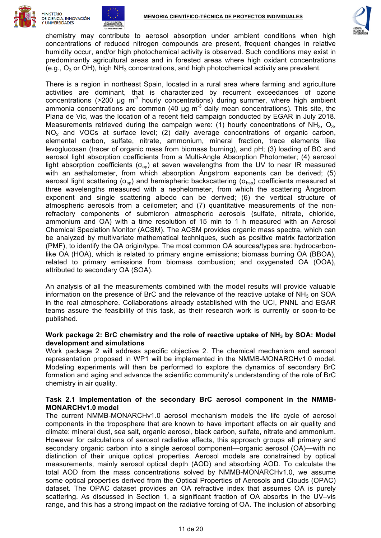





chemistry may contribute to aerosol absorption under ambient conditions when high concentrations of reduced nitrogen compounds are present, frequent changes in relative humidity occur, and/or high photochemical activity is observed. Such conditions may exist in predominantly agricultural areas and in forested areas where high oxidant concentrations (e.g.,  $O_3$  or OH), high NH<sub>3</sub> concentrations, and high photochemical activity are prevalent.

There is a region in northeast Spain, located in a rural area where farming and agriculture activities are dominant, that is characterized by recurrent exceedances of ozone concentrations ( $>$ 200 µg m<sup>-3</sup> hourly concentrations) during summer, where high ambient ammonia concentrations are common (40  $\mu$ g m<sup>-3</sup> daily mean concentrations). This site, the Plana de Vic, was the location of a recent field campaign conducted by EGAR in July 2018. Measurements retrieved during the campaign were: (1) hourly concentrations of  $NH_3$ ,  $O_3$ ,  $NO<sub>2</sub>$  and VOCs at surface level; (2) daily average concentrations of organic carbon, elemental carbon, sulfate, nitrate, ammonium, mineral fraction, trace elements like levoglucosan (tracer of organic mass from biomass burning), and pH; (3) loading of BC and aerosol light absorption coefficients from a Multi-Angle Absorption Photometer; (4) aerosol light absorption coefficients ( $\sigma_{\text{an}}$ ) at seven wavelengths from the UV to near IR measured with an aethalometer, from which absorption Ångstrom exponents can be derived; (5) aerosol light scattering ( $\sigma_{\rm{so}}$ ) and hemispheric backscattering ( $\sigma_{\rm{bsp}}$ ) coefficients measured at three wavelengths measured with a nephelometer, from which the scattering Ångstrom exponent and single scattering albedo can be derived; (6) the vertical structure of atmospheric aerosols from a ceilometer; and (7) quantitative measurements of the nonrefractory components of submicron atmospheric aerosols (sulfate, nitrate, chloride, ammonium and OA) with a time resolution of 15 min to 1 h measured with an Aerosol Chemical Speciation Monitor (ACSM). The ACSM provides organic mass spectra, which can be analyzed by multivariate mathematical techniques, such as positive matrix factorization (PMF), to identify the OA origin/type. The most common OA sources/types are: hydrocarbonlike OA (HOA), which is related to primary engine emissions; biomass burning OA (BBOA), related to primary emissions from biomass combustion; and oxygenated OA (OOA), attributed to secondary OA (SOA).

An analysis of all the measurements combined with the model results will provide valuable information on the presence of BrC and the relevance of the reactive uptake of  $NH<sub>3</sub>$  on SOA in the real atmosphere. Collaborations already established with the UCI, PNNL and EGAR teams assure the feasibility of this task, as their research work is currently or soon-to-be published.

# **Work package 2: BrC chemistry and the role of reactive uptake of NH3 by SOA: Model development and simulations**

Work package 2 will address specific objective 2. The chemical mechanism and aerosol representation proposed in WP1 will be implemented in the NMMB-MONARCHv1.0 model. Modeling experiments will then be performed to explore the dynamics of secondary BrC formation and aging and advance the scientific community's understanding of the role of BrC chemistry in air quality.

# **Task 2.1 Implementation of the secondary BrC aerosol component in the NMMB-MONARCHv1.0 model**

The current NMMB-MONARCHv1.0 aerosol mechanism models the life cycle of aerosol components in the troposphere that are known to have important effects on air quality and climate: mineral dust, sea salt, organic aerosol, black carbon, sulfate, nitrate and ammonium. However for calculations of aerosol radiative effects, this approach groups all primary and secondary organic carbon into a single aerosol component—organic aerosol (OA)—with no distinction of their unique optical properties. Aerosol models are constrained by optical measurements, mainly aerosol optical depth (AOD) and absorbing AOD. To calculate the total AOD from the mass concentrations solved by NMMB-MONARCHv1.0, we assume some optical properties derived from the Optical Properties of Aerosols and Clouds (OPAC) dataset. The OPAC dataset provides an OA refractive index that assumes OA is purely scattering. As discussed in Section 1, a significant fraction of OA absorbs in the UV–vis range, and this has a strong impact on the radiative forcing of OA. The inclusion of absorbing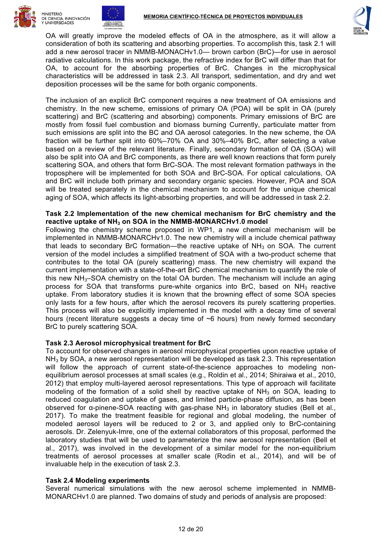





OA will greatly improve the modeled effects of OA in the atmosphere, as it will allow a consideration of both its scattering and absorbing properties. To accomplish this, task 2.1 will add a new aerosol tracer in NMMB-MONACHv1.0— brown carbon (BrC)—for use in aerosol radiative calculations. In this work package, the refractive index for BrC will differ than that for OA, to account for the absorbing properties of BrC. Changes in the microphysical characteristics will be addressed in task 2.3. All transport, sedimentation, and dry and wet deposition processes will be the same for both organic components.

The inclusion of an explicit BrC component requires a new treatment of OA emissions and chemistry. In the new scheme, emissions of primary OA (POA) will be split in OA (purely scattering) and BrC (scattering and absorbing) components. Primary emissions of BrC are mostly from fossil fuel combustion and biomass burning Currently, particulate matter from such emissions are split into the BC and OA aerosol categories. In the new scheme, the OA fraction will be further split into 60%–70% OA and 30%–40% BrC, after selecting a value based on a review of the relevant literature. Finally, secondary formation of OA (SOA) will also be split into OA and BrC components, as there are well known reactions that form purely scattering SOA, and others that form BrC-SOA. The most relevant formation pathways in the troposphere will be implemented for both SOA and BrC-SOA. For optical calculations, OA and BrC will include both primary and secondary organic species. However, POA and SOA will be treated separately in the chemical mechanism to account for the unique chemical aging of SOA, which affects its light-absorbing properties, and will be addressed in task 2.2.

#### **Task 2.2 Implementation of the new chemical mechanism for BrC chemistry and the reactive uptake of NH3 on SOA in the NMMB-MONARCHv1.0 model**

Following the chemistry scheme proposed in WP1, a new chemical mechanism will be implemented in NMMB-MONARCHv1.0. The new chemistry will a include chemical pathway that leads to secondary BrC formation—the reactive uptake of  $NH<sub>3</sub>$  on SOA. The current version of the model includes a simplified treatment of SOA with a two-product scheme that contributes to the total OA (purely scattering) mass. The new chemistry will expand the current implementation with a state-of-the-art BrC chemical mechanism to quantify the role of this new  $NH<sub>3</sub>$ –SOA chemistry on the total OA burden. The mechanism will include an aging process for SOA that transforms pure-white organics into BrC, based on  $NH<sub>3</sub>$  reactive uptake. From laboratory studies it is known that the browning effect of some SOA species only lasts for a few hours, after which the aerosol recovers its purely scattering properties. This process will also be explicitly implemented in the model with a decay time of several hours (recent literature suggests a decay time of  $\sim$ 6 hours) from newly formed secondary BrC to purely scattering SOA.

# **Task 2.3 Aerosol microphysical treatment for BrC**

To account for observed changes in aerosol microphysical properties upon reactive uptake of  $NH<sub>3</sub>$  by SOA, a new aerosol representation will be developed as task 2.3. This representation will follow the approach of current state-of-the-science approaches to modeling nonequilibrium aerosol processes at small scales (e.g., Roldin et al., 2014; Shiraiwa et al., 2010, 2012) that employ multi-layered aerosol representations. This type of approach will facilitate modeling of the formation of a solid shell by reactive uptake of  $NH<sub>3</sub>$  on SOA, leading to reduced coagulation and uptake of gases, and limited particle-phase diffusion, as has been observed for  $\alpha$ -pinene-SOA reacting with gas-phase NH<sub>3</sub> in laboratory studies (Bell et al., 2017). To make the treatment feasible for regional and global modeling, the number of modeled aerosol layers will be reduced to 2 or 3, and applied only to BrC-containing aerosols. Dr. Zelenyuk-Imre, one of the external collaborators of this proposal, performed the laboratory studies that will be used to parameterize the new aerosol representation (Bell et al., 2017), was involved in the development of a similar model for the non-equilibrium treatments of aerosol processes at smaller scale (Rodin et al., 2014), and will be of invaluable help in the execution of task 2.3.

# **Task 2.4 Modeling experiments**

Several numerical simulations with the new aerosol scheme implemented in NMMB-MONARCHv1.0 are planned. Two domains of study and periods of analysis are proposed: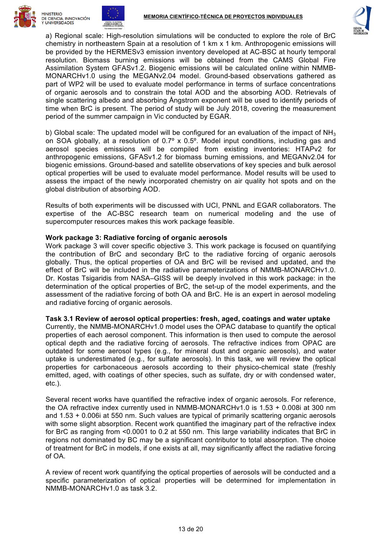





a) Regional scale: High-resolution simulations will be conducted to explore the role of BrC chemistry in northeastern Spain at a resolution of 1 km x 1 km. Anthropogenic emissions will be provided by the HERMESv3 emission inventory developed at AC-BSC at hourly temporal resolution. Biomass burning emissions will be obtained from the CAMS Global Fire Assimilation System GFASv1.2. Biogenic emissions will be calculated online within NMMB-MONARCHv1.0 using the MEGANv2.04 model. Ground-based observations gathered as part of WP2 will be used to evaluate model performance in terms of surface concentrations of organic aerosols and to constrain the total AOD and the absorbing AOD. Retrievals of single scattering albedo and absorbing Ångstrom exponent will be used to identify periods of time when BrC is present. The period of study will be July 2018, covering the measurement period of the summer campaign in Vic conducted by EGAR.

b) Global scale: The updated model will be configured for an evaluation of the impact of  $NH<sub>3</sub>$ on SOA globally, at a resolution of 0.7º x 0.5º. Model input conditions, including gas and aerosol species emissions will be compiled from existing inventories: HTAPv2 for anthropogenic emissions, GFASv1.2 for biomass burning emissions, and MEGANv2.04 for biogenic emissions. Ground-based and satellite observations of key species and bulk aerosol optical properties will be used to evaluate model performance. Model results will be used to assess the impact of the newly incorporated chemistry on air quality hot spots and on the global distribution of absorbing AOD.

Results of both experiments will be discussed with UCI, PNNL and EGAR collaborators. The expertise of the AC-BSC research team on numerical modeling and the use of supercomputer resources makes this work package feasible.

# **Work package 3: Radiative forcing of organic aerosols**

Work package 3 will cover specific objective 3. This work package is focused on quantifying the contribution of BrC and secondary BrC to the radiative forcing of organic aerosols globally. Thus, the optical properties of OA and BrC will be revised and updated, and the effect of BrC will be included in the radiative parameterizations of NMMB-MONARCHv1.0. Dr. Kostas Tsigaridis from NASA–GISS will be deeply involved in this work package: in the determination of the optical properties of BrC, the set-up of the model experiments, and the assessment of the radiative forcing of both OA and BrC. He is an expert in aerosol modeling and radiative forcing of organic aerosols.

#### **Task 3.1 Review of aerosol optical properties: fresh, aged, coatings and water uptake**

Currently, the NMMB-MONARCHv1.0 model uses the OPAC database to quantify the optical properties of each aerosol component. This information is then used to compute the aerosol optical depth and the radiative forcing of aerosols. The refractive indices from OPAC are outdated for some aerosol types (e.g., for mineral dust and organic aerosols), and water uptake is underestimated (e.g., for sulfate aerosols). In this task, we will review the optical properties for carbonaceous aerosols according to their physico-chemical state (freshly emitted, aged, with coatings of other species, such as sulfate, dry or with condensed water, etc.).

Several recent works have quantified the refractive index of organic aerosols. For reference, the OA refractive index currently used in NMMB-MONARCHv1.0 is 1.53 + 0.008i at 300 nm and 1.53 + 0.006i at 550 nm. Such values are typical of primarily scattering organic aerosols with some slight absorption. Recent work quantified the imaginary part of the refractive index for BrC as ranging from <0.0001 to 0.2 at 550 nm. This large variability indicates that BrC in regions not dominated by BC may be a significant contributor to total absorption. The choice of treatment for BrC in models, if one exists at all, may significantly affect the radiative forcing of OA.

A review of recent work quantifying the optical properties of aerosols will be conducted and a specific parameterization of optical properties will be determined for implementation in NMMB-MONARCHv1.0 as task 3.2.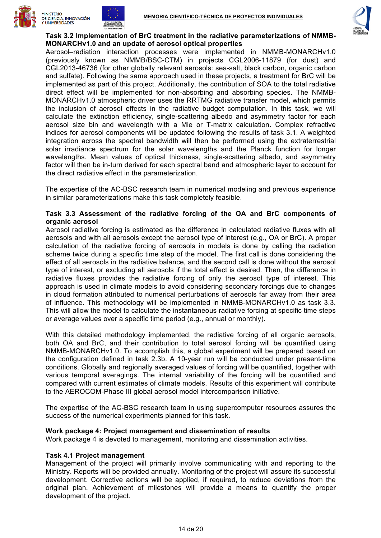





#### **Task 3.2 Implementation of BrC treatment in the radiative parameterizations of NMMB-MONARCHv1.0 and an update of aerosol optical properties**

Aerosol–radiation interaction processes were implemented in NMMB-MONARCHv1.0 (previously known as NMMB/BSC-CTM) in projects CGL2006-11879 (for dust) and CGL2013-46736 (for other globally relevant aerosols: sea-salt, black carbon, organic carbon and sulfate). Following the same approach used in these projects, a treatment for BrC will be implemented as part of this project. Additionally, the contribution of SOA to the total radiative direct effect will be implemented for non-absorbing and absorbing species. The NMMB-MONARCHv1.0 atmospheric driver uses the RRTMG radiative transfer model, which permits the inclusion of aerosol effects in the radiative budget computation. In this task, we will calculate the extinction efficiency, single-scattering albedo and asymmetry factor for each aerosol size bin and wavelength with a Mie or T-matrix calculation. Complex refractive indices for aerosol components will be updated following the results of task 3.1. A weighted integration across the spectral bandwidth will then be performed using the extraterrestrial solar irradiance spectrum for the solar wavelengths and the Planck function for longer wavelengths. Mean values of optical thickness, single-scattering albedo, and asymmetry factor will then be in-turn derived for each spectral band and atmospheric layer to account for the direct radiative effect in the parameterization.

The expertise of the AC-BSC research team in numerical modeling and previous experience in similar parameterizations make this task completely feasible.

#### **Task 3.3 Assessment of the radiative forcing of the OA and BrC components of organic aerosol**

Aerosol radiative forcing is estimated as the difference in calculated radiative fluxes with all aerosols and with all aerosols except the aerosol type of interest (e.g., OA or BrC). A proper calculation of the radiative forcing of aerosols in models is done by calling the radiation scheme twice during a specific time step of the model. The first call is done considering the effect of all aerosols in the radiative balance, and the second call is done without the aerosol type of interest, or excluding all aerosols if the total effect is desired. Then, the difference in radiative fluxes provides the radiative forcing of only the aerosol type of interest. This approach is used in climate models to avoid considering secondary forcings due to changes in cloud formation attributed to numerical perturbations of aerosols far away from their area of influence. This methodology will be implemented in NMMB-MONARCHv1.0 as task 3.3. This will allow the model to calculate the instantaneous radiative forcing at specific time steps or average values over a specific time period (e.g., annual or monthly).

With this detailed methodology implemented, the radiative forcing of all organic aerosols, both OA and BrC, and their contribution to total aerosol forcing will be quantified using NMMB-MONARCHv1.0. To accomplish this, a global experiment will be prepared based on the configuration defined in task 2.3b. A 10-year run will be conducted under present-time conditions. Globally and regionally averaged values of forcing will be quantified, together with various temporal averagings. The internal variability of the forcing will be quantified and compared with current estimates of climate models. Results of this experiment will contribute to the AEROCOM-Phase III global aerosol model intercomparison initiative.

The expertise of the AC-BSC research team in using supercomputer resources assures the success of the numerical experiments planned for this task.

#### **Work package 4: Project management and dissemination of results**

Work package 4 is devoted to management, monitoring and dissemination activities.

#### **Task 4.1 Project management**

Management of the project will primarily involve communicating with and reporting to the Ministry. Reports will be provided annually. Monitoring of the project will assure its successful development. Corrective actions will be applied, if required, to reduce deviations from the original plan. Achievement of milestones will provide a means to quantify the proper development of the project.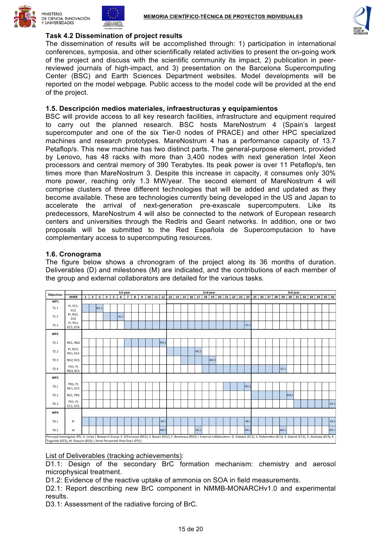





# **Task 4.2 Dissemination of project results**

The dissemination of results will be accomplished through: 1) participation in international conferences, symposia, and other scientifically related activities to present the on-going work of the project and discuss with the scientific community its impact, 2) publication in peerreviewed journals of high-impact, and 3) presentation on the Barcelona Supercomputing Center (BSC) and Earth Sciences Department websites. Model developments will be reported on the model webpage. Public access to the model code will be provided at the end of the project.

# **1.5. Descripción medios materiales, infraestructuras y equipamientos**

BSC will provide access to all key research facilities, infrastructure and equipment required to carry out the planned research. BSC hosts MareNostrum 4 (Spain's largest supercomputer and one of the six Tier-0 nodes of PRACE) and other HPC specialized machines and research prototypes. MareNostrum 4 has a performance capacity of 13.7 Petaflop/s. This new machine has two distinct parts. The general-purpose element, provided by Lenovo, has 48 racks with more than 3,400 nodes with next generation Intel Xeon processors and central memory of 390 Terabytes. Its peak power is over 11 Petaflop/s, ten times more than MareNostrum 3. Despite this increase in capacity, it consumes only 30% more power, reaching only 1.3 MW/year. The second element of MareNostrum 4 will comprise clusters of three different technologies that will be added and updated as they become available. These are technologies currently being developed in the US and Japan to accelerate the arrival of next-generation pre-exascale supercomputers. Like its predecessors, MareNostrum 4 will also be connected to the network of European research centers and universities through the RedIris and Geant networks. In addition, one or two proposals will be submitted to the Red Española de Supercomputacion to have complementary access to supercomputing resources.

# **1.6. Cronograma**

The figure below shows a chronogram of the project along its 36 months of duration. Deliverables (D) and milestones (M) are indicated, and the contributions of each member of the group and external collaborators are detailed for the various tasks.

| <b>Objectives</b>                                                                                                                                                                                                                                                                              |                             | 1st year     |                |                  |                         |   |                |                |                         |   |    |  |                                           | 2nd year |  |  |    |                  |  |                  |  |    |    | 3rd year |                     |  |    |    |                  |      |            |  |    |    |              |      |
|------------------------------------------------------------------------------------------------------------------------------------------------------------------------------------------------------------------------------------------------------------------------------------------------|-----------------------------|--------------|----------------|------------------|-------------------------|---|----------------|----------------|-------------------------|---|----|--|-------------------------------------------|----------|--|--|----|------------------|--|------------------|--|----|----|----------|---------------------|--|----|----|------------------|------|------------|--|----|----|--------------|------|
|                                                                                                                                                                                                                                                                                                | <b>HHRR</b>                 | $\mathbf{1}$ | $\overline{2}$ | 3                | $\overline{\mathbf{4}}$ | 5 | $\overline{6}$ | $\overline{7}$ | $\overline{\mathbf{8}}$ | 9 | 10 |  | $11 \mid 12 \mid 13 \mid 14 \mid 15 \mid$ |          |  |  | 16 | $\overline{17}$  |  | $18$ 19 20       |  | 21 | 22 |          | $23$   24   25   26 |  | 27 | 28 | 29               |      | $30$ 31 32 |  | 33 | 34 | $35 \mid 36$ |      |
| WP1                                                                                                                                                                                                                                                                                            |                             |              |                |                  |                         |   |                |                |                         |   |    |  |                                           |          |  |  |    |                  |  |                  |  |    |    |          |                     |  |    |    |                  |      |            |  |    |    |              |      |
| T1.1                                                                                                                                                                                                                                                                                           | PI, EC1,<br>EC <sub>2</sub> |              |                | M <sub>1.1</sub> |                         |   |                |                |                         |   |    |  |                                           |          |  |  |    |                  |  |                  |  |    |    |          |                     |  |    |    |                  |      |            |  |    |    |              |      |
| T1.2                                                                                                                                                                                                                                                                                           | PI, RG1,<br>EC <sub>6</sub> |              |                |                  |                         |   | D1.1           |                |                         |   |    |  |                                           |          |  |  |    |                  |  |                  |  |    |    |          |                     |  |    |    |                  |      |            |  |    |    |              |      |
| T1.3                                                                                                                                                                                                                                                                                           | PI, PD1,<br>EC3, EC4        |              |                |                  |                         |   |                |                |                         |   |    |  |                                           |          |  |  |    |                  |  |                  |  |    |    | D1.2     |                     |  |    |    |                  |      |            |  |    |    |              |      |
| WP2                                                                                                                                                                                                                                                                                            |                             |              |                |                  |                         |   |                |                |                         |   |    |  |                                           |          |  |  |    |                  |  |                  |  |    |    |          |                     |  |    |    |                  |      |            |  |    |    |              |      |
| T2.1                                                                                                                                                                                                                                                                                           | RG1, RG3                    |              |                |                  |                         |   |                |                |                         |   |    |  | M2.1                                      |          |  |  |    |                  |  |                  |  |    |    |          |                     |  |    |    |                  |      |            |  |    |    |              |      |
| T2.2                                                                                                                                                                                                                                                                                           | PI, RG3,<br>PD1, EC6        |              |                |                  |                         |   |                |                |                         |   |    |  |                                           |          |  |  |    | M <sub>2.2</sub> |  |                  |  |    |    |          |                     |  |    |    |                  |      |            |  |    |    |              |      |
| T2.3                                                                                                                                                                                                                                                                                           | RG2, EC6                    |              |                |                  |                         |   |                |                |                         |   |    |  |                                           |          |  |  |    |                  |  | M <sub>2.3</sub> |  |    |    |          |                     |  |    |    |                  |      |            |  |    |    |              |      |
| T2.4                                                                                                                                                                                                                                                                                           | PD1, PI,<br>RG3, EC1        |              |                |                  |                         |   |                |                |                         |   |    |  |                                           |          |  |  |    |                  |  |                  |  |    |    |          |                     |  |    |    | D <sub>2.1</sub> |      |            |  |    |    |              |      |
| WP3                                                                                                                                                                                                                                                                                            |                             |              |                |                  |                         |   |                |                |                         |   |    |  |                                           |          |  |  |    |                  |  |                  |  |    |    |          |                     |  |    |    |                  |      |            |  |    |    |              |      |
| T3.1                                                                                                                                                                                                                                                                                           | PD1, PI,<br>RG1, EC5        |              |                |                  |                         |   |                |                |                         |   |    |  |                                           |          |  |  |    |                  |  |                  |  |    |    | M3.1     |                     |  |    |    |                  |      |            |  |    |    |              |      |
| T3.2                                                                                                                                                                                                                                                                                           | RG2, PD1                    |              |                |                  |                         |   |                |                |                         |   |    |  |                                           |          |  |  |    |                  |  |                  |  |    |    |          |                     |  |    |    |                  | M3.2 |            |  |    |    |              |      |
| T3.3                                                                                                                                                                                                                                                                                           | PD1, PI,<br>EC2, EC6        |              |                |                  |                         |   |                |                |                         |   |    |  |                                           |          |  |  |    |                  |  |                  |  |    |    |          |                     |  |    |    |                  |      |            |  |    |    |              | D3.1 |
| WP4                                                                                                                                                                                                                                                                                            |                             |              |                |                  |                         |   |                |                |                         |   |    |  |                                           |          |  |  |    |                  |  |                  |  |    |    |          |                     |  |    |    |                  |      |            |  |    |    |              |      |
| T4.1                                                                                                                                                                                                                                                                                           | PI                          |              |                |                  |                         |   |                |                |                         |   |    |  | D4.1                                      |          |  |  |    |                  |  |                  |  |    |    | D4.2     |                     |  |    |    |                  |      |            |  |    |    |              | D4.3 |
| T4.2                                                                                                                                                                                                                                                                                           | all                         |              |                |                  |                         |   |                |                |                         |   |    |  | M4.1                                      |          |  |  |    | M4.1             |  |                  |  |    |    | M4.1     |                     |  |    |    | M4.1             |      |            |  |    |    |              | M4.1 |
| Principal Investigator (PI): O. Jorba   Research Group: E. DiTomasso (RG1), S. Basart (RG2), F. Benincasa (RG3)   External collaborators: D. Dabdub (EC1), S. Nizkorodov (EC2), X. Querol (EC3), A. Alastuey (EC4), K.<br>Tsigaridis (EC5), M. Dawson (EC6)   Hired Personnel: Post-Doc1 (PD1) |                             |              |                |                  |                         |   |                |                |                         |   |    |  |                                           |          |  |  |    |                  |  |                  |  |    |    |          |                     |  |    |    |                  |      |            |  |    |    |              |      |

List of Deliverables (tracking achievements):

D1.1: Design of the secondary BrC formation mechanism: chemistry and aerosol microphysical treatment.

D1.2: Evidence of the reactive uptake of ammonia on SOA in field measurements.

D2.1: Report describing new BrC component in NMMB-MONARCHv1.0 and experimental results.

D3.1: Assessment of the radiative forcing of BrC.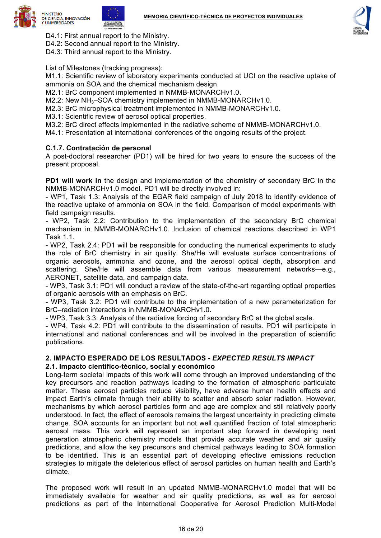

- D4.1: First annual report to the Ministry.
- D4.2: Second annual report to the Ministry.
- D4.3: Third annual report to the Ministry.

List of Milestones (tracking progress):

M1.1: Scientific review of laboratory experiments conducted at UCI on the reactive uptake of ammonia on SOA and the chemical mechanism design.

M2.1: BrC component implemented in NMMB-MONARCHv1.0.

- M2.2: New  $NH<sub>3</sub>$ –SOA chemistry implemented in NMMB-MONARCHv1.0.
- M2.3: BrC microphysical treatment implemented in NMMB-MONARCHv1.0.
- M3.1: Scientific review of aerosol optical properties.
- M3.2: BrC direct effects implemented in the radiative scheme of NMMB-MONARCHv1.0.
- M4.1: Presentation at international conferences of the ongoing results of the project.

# **C.1.7. Contratación de personal**

A post-doctoral researcher (PD1) will be hired for two years to ensure the success of the present proposal.

**PD1 will work in** the design and implementation of the chemistry of secondary BrC in the NMMB-MONARCHv1.0 model. PD1 will be directly involved in:

- WP1, Task 1.3: Analysis of the EGAR field campaign of July 2018 to identify evidence of the reactive uptake of ammonia on SOA in the field. Comparison of model experiments with field campaign results.

- WP2, Task 2.2: Contribution to the implementation of the secondary BrC chemical mechanism in NMMB-MONARCHv1.0. Inclusion of chemical reactions described in WP1 Task 11

- WP2, Task 2.4: PD1 will be responsible for conducting the numerical experiments to study the role of BrC chemistry in air quality. She/He will evaluate surface concentrations of organic aerosols, ammonia and ozone, and the aerosol optical depth, absorption and scattering. She/He will assemble data from various measurement networks—e.g., AERONET, satellite data, and campaign data.

- WP3, Task 3.1: PD1 will conduct a review of the state-of-the-art regarding optical properties of organic aerosols with an emphasis on BrC.

- WP3, Task 3.2: PD1 will contribute to the implementation of a new parameterization for BrC–radiation interactions in NMMB-MONARCHv1.0.

- WP3, Task 3.3: Analysis of the radiative forcing of secondary BrC at the global scale.

- WP4, Task 4.2: PD1 will contribute to the dissemination of results. PD1 will participate in international and national conferences and will be involved in the preparation of scientific publications.

#### **2. IMPACTO ESPERADO DE LOS RESULTADOS -** *EXPECTED RESULTS IMPACT* **2.1. Impacto científico-técnico, social y económico**

Long-term societal impacts of this work will come through an improved understanding of the key precursors and reaction pathways leading to the formation of atmospheric particulate matter. These aerosol particles reduce visibility, have adverse human health effects and impact Earth's climate through their ability to scatter and absorb solar radiation. However, mechanisms by which aerosol particles form and age are complex and still relatively poorly understood. In fact, the effect of aerosols remains the largest uncertainty in predicting climate change. SOA accounts for an important but not well quantified fraction of total atmospheric aerosol mass. This work will represent an important step forward in developing next generation atmospheric chemistry models that provide accurate weather and air quality predictions, and allow the key precursors and chemical pathways leading to SOA formation to be identified. This is an essential part of developing effective emissions reduction strategies to mitigate the deleterious effect of aerosol particles on human health and Earth's climate.

The proposed work will result in an updated NMMB-MONARCHv1.0 model that will be immediately available for weather and air quality predictions, as well as for aerosol predictions as part of the International Cooperative for Aerosol Prediction Multi-Model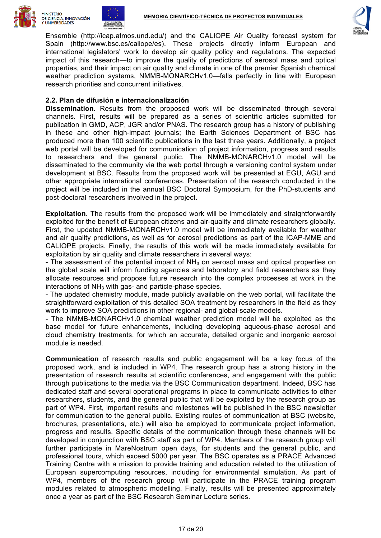





Ensemble (http://icap.atmos.und.edu/) and the CALIOPE Air Quality forecast system for Spain (http://www.bsc.es/caliope/es). These projects directly inform European and international legislators' work to develop air quality policy and regulations. The expected impact of this research—to improve the quality of predictions of aerosol mass and optical properties, and their impact on air quality and climate in one of the premier Spanish chemical weather prediction systems, NMMB-MONARCHv1.0—falls perfectly in line with European research priorities and concurrent initiatives.

# **2.2. Plan de difusión e internacionalización**

**Dissemination.** Results from the proposed work will be disseminated through several channels. First, results will be prepared as a series of scientific articles submitted for publication in GMD, ACP, JGR and/or PNAS. The research group has a history of publishing in these and other high-impact journals; the Earth Sciences Department of BSC has produced more than 100 scientific publications in the last three years. Additionally, a project web portal will be developed for communication of project information, progress and results to researchers and the general public. The NMMB-MONARCHv1.0 model will be disseminated to the community via the web portal through a versioning control system under development at BSC. Results from the proposed work will be presented at EGU, AGU and other appropriate international conferences. Presentation of the research conducted in the project will be included in the annual BSC Doctoral Symposium, for the PhD-students and post-doctoral researchers involved in the project.

**Exploitation.** The results from the proposed work will be immediately and straightforwardly exploited for the benefit of European citizens and air-quality and climate researchers globally. First, the updated NMMB-MONARCHv1.0 model will be immediately available for weather and air quality predictions, as well as for aerosol predictions as part of the ICAP-MME and CALIOPE projects. Finally, the results of this work will be made immediately available for exploitation by air quality and climate researchers in several ways:

- The assessment of the potential impact of  $NH<sub>3</sub>$  on aerosol mass and optical properties on the global scale will inform funding agencies and laboratory and field researchers as they allocate resources and propose future research into the complex processes at work in the interactions of  $NH<sub>3</sub>$  with gas- and particle-phase species.

- The updated chemistry module, made publicly available on the web portal, will facilitate the straightforward exploitation of this detailed SOA treatment by researchers in the field as they work to improve SOA predictions in other regional- and global-scale models.

- The NMMB-MONARCHv1.0 chemical weather prediction model will be exploited as the base model for future enhancements, including developing aqueous-phase aerosol and cloud chemistry treatments, for which an accurate, detailed organic and inorganic aerosol module is needed.

**Communication** of research results and public engagement will be a key focus of the proposed work, and is included in WP4. The research group has a strong history in the presentation of research results at scientific conferences, and engagement with the public through publications to the media via the BSC Communication department. Indeed, BSC has dedicated staff and several operational programs in place to communicate activities to other researchers, students, and the general public that will be exploited by the research group as part of WP4. First, important results and milestones will be published in the BSC newsletter for communication to the general public. Existing routes of communication at BSC (website, brochures, presentations, etc.) will also be employed to communicate project information, progress and results. Specific details of the communication through these channels will be developed in conjunction with BSC staff as part of WP4. Members of the research group will further participate in MareNostrum open days, for students and the general public, and professional tours, which exceed 5000 per year. The BSC operates as a PRACE Advanced Training Centre with a mission to provide training and education related to the utilization of European supercomputing resources, including for environmental simulation. As part of WP4, members of the research group will participate in the PRACE training program modules related to atmospheric modelling. Finally, results will be presented approximately once a year as part of the BSC Research Seminar Lecture series.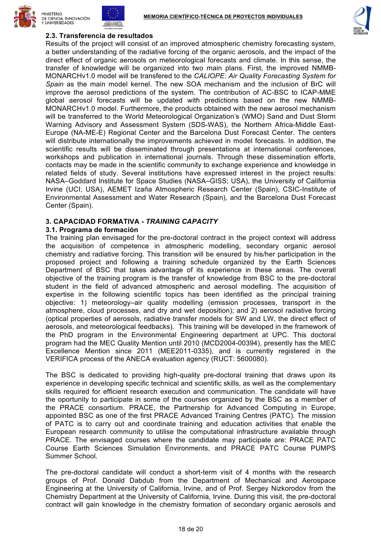





# **2.3. Transferencia de resultados**

Results of the project will consist of an improved atmospheric chemistry forecasting system, a better understanding of the radiative forcing of the organic aerosols, and the impact of the direct effect of organic aerosols on meteorological forecasts and climate. In this sense, the transfer of knowledge will be organized into two main plans. First, the improved NMMB-MONARCHv1.0 model will be transfered to the *CALIOPE: Air Quality Forecasting System for Spain* as the main model kernel. The new SOA mechanism and the inclusion of BrC will improve the aerosol predictions of the system. The contribution of AC-BSC to ICAP-MME global aerosol forecasts will be updated with predictions based on the new NMMB-MONARCHv1.0 model. Furthermore, the products obtained with the new aerosol mechanism will be transferred to the World Meteorological Organization's (WMO) Sand and Dust Storm Warning Advisory and Assessment System (SDS-WAS), the Northern Africa-Middle East-Europe (NA-ME-E) Regional Center and the Barcelona Dust Forecast Center. The centers will distribute internationally the improvements achieved in model forecasts. In addition, the scientific results will be disseminated through presentations at international conferences, workshops and publication in international journals. Through these dissemination efforts, contacts may be made in the scientific community to exchange experience and knowledge in related fields of study. Several institutions have expressed interest in the project results: NASA–Goddard Institute for Space Studies (NASA–GISS; USA), the University of California Irvine (UCI; USA), AEMET Izaña Atmospheric Research Center (Spain), CSIC-Institute of Environmental Assessment and Water Research (Spain), and the Barcelona Dust Forecast Center (Spain).

# **3. CAPACIDAD FORMATIVA -** *TRAINING CAPACITY*

#### **3.1. Programa de formación**

The training plan envisaged for the pre-doctoral contract in the project context will address the acquisition of competence in atmospheric modelling, secondary organic aerosol chemistry and radiative forcing. This transition will be ensured by his/her participation in the proposed project and following a training schedule organized by the Earth Sciences Department of BSC that takes advantage of its experience in these areas. The overall objective of the training program is the transfer of knowledge from BSC to the pre-doctoral student in the field of advanced atmospheric and aerosol modelling. The acquisition of expertise in the following scientific topics has been identified as the principal training objective: 1) meteorology–air quality modelling (emission processes, transport in the atmosphere, cloud processes, and dry and wet deposition); and 2) aerosol radiative forcing (optical properties of aerosols, radiative transfer models for SW and LW, the direct effect of aerosols, and meteorological feedbacks). This training will be developed in the framework of the PhD program in the Environmental Engineering department at UPC. This doctoral program had the MEC Quality Mention until 2010 (MCD2004-00394), presently has the MEC Excellence Mention since 2011 (MEE2011-0335), and is currently registered in the VERIFICA process of the ANECA evaluation agency (RUCT: 5600080).

The BSC is dedicated to providing high-quality pre-doctoral training that draws upon its experience in developing specific technical and scientific skills, as well as the complementary skills required for efficient research execution and communication. The candidate will have the oportunity to participate in some of the courses organized by the BSC as a member of the PRACE consortium. PRACE, the Partnership for Advanced Computing in Europe, appointed BSC as one of the first PRACE Advanced Training Centres (PATC). The mission of PATC is to carry out and coordinate training and education activities that enable the European research community to utilise the computational infrastructure available through PRACE. The envisaged courses where the candidate may participate are: PRACE PATC Course Earth Sciences Simulation Environments, and PRACE PATC Course PUMPS Summer School.

The pre-doctoral candidate will conduct a short-term visit of 4 months with the research groups of Prof. Donald Dabdub from the Department of Mechanical and Aerospace Engineering at the University of California, Irvine, and of Prof. Sergey Nizkorodov from the Chemistry Department at the University of California, Irvine. During this visit, the pre-doctoral contract will gain knowledge in the chemistry formation of secondary organic aerosols and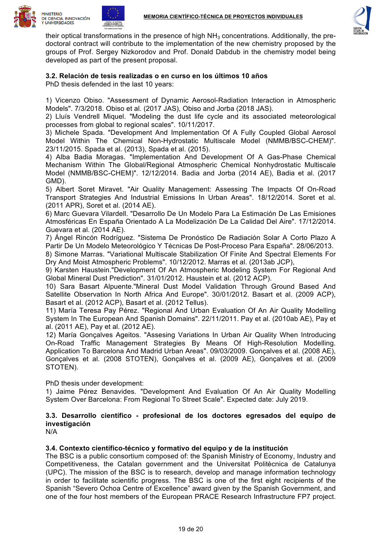





their optical transformations in the presence of high  $NH<sub>3</sub>$  concentrations. Additionally, the predoctoral contract will contribute to the implementation of the new chemistry proposed by the groups of Prof. Sergey Nizkorodov and Prof. Donald Dabdub in the chemistry model being developed as part of the present proposal.

# **3.2. Relación de tesis realizadas o en curso en los últimos 10 años**

PhD thesis defended in the last 10 years:

1) Vicenzo Obiso. "Assessment of Dynamic Aerosol-Radiation Interaction in Atmospheric Models". 7/3/2018. Obiso et al. (2017 JAS), Obiso and Jorba (2018 JAS).

2) Lluís Vendrell Miquel. "Modeling the dust life cycle and its associated meteorological processes from global to regional scales". 10/11/2017.

3) Michele Spada. "Development And Implementation Of A Fully Coupled Global Aerosol Model Within The Chemical Non-Hydrostatic Multiscale Model (NMMB/BSC-CHEM)". 23/11/2015. Spada et al. (2013), Spada et al. (2015).

4) Alba Badia Moragas. "Implementation And Development Of A Gas-Phase Chemical Mechanism Within The Global/Regional Atmospheric Chemical Nonhydrostatic Multiscale Model (NMMB/BSC-CHEM)". 12/12/2014. Badia and Jorba (2014 AE), Badia et al. (2017 GMD).

5) Albert Soret Miravet. "Air Quality Management: Assessing The Impacts Of On-Road Transport Strategies And Industrial Emissions In Urban Areas". 18/12/2014. Soret et al. (2011 APR), Soret et al. (2014 AE).

6) Marc Guevara Vilardell. "Desarrollo De Un Modelo Para La Estimación De Las Emisiones Atmosféricas En España Orientado A La Modelización De La Calidad Del Aire". 17/12/2014. Guevara et al. (2014 AE).

7) Ángel Rincón Rodríguez. "Sistema De Pronóstico De Radiación Solar A Corto Plazo A Partir De Un Modelo Meteorológico Y Técnicas De Post-Proceso Para España". 28/06/2013.

8) Simone Marras. "Variational Multiscale Stabilization Of Finite And Spectral Elements For Dry And Moist Atmospheric Problems". 10/12/2012. Marras et al. (2013ab JCP),

9) Karsten Haustein."Development Of An Atmospheric Modeling System For Regional And Global Mineral Dust Prediction". 31/01/2012. Haustein et al. (2012 ACP).

10) Sara Basart Alpuente."Mineral Dust Model Validation Through Ground Based And Satellite Observation In North Africa And Europe". 30/01/2012. Basart et al. (2009 ACP), Basart et al. (2012 ACP), Basart et al. (2012 Tellus).

11) María Teresa Pay Pérez. "Regional And Urban Evaluation Of An Air Quality Modelling System In The European And Spanish Domains". 22/11/2011. Pay et al. (2010ab AE), Pay et al. (2011 AE), Pay et al. (2012 AE).

12) María Gonçalves Ageitos. "Assesing Variations In Urban Air Quality When Introducing On-Road Traffic Management Strategies By Means Of High-Resolution Modelling. Application To Barcelona And Madrid Urban Areas". 09/03/2009. Gonçalves et al. (2008 AE), Gonçalves et al. (2008 STOTEN), Gonçalves et al. (2009 AE), Gonçalves et al. (2009 STOTEN).

PhD thesis under development:

1) Jaime Pérez Benavides. "Development And Evaluation Of An Air Quality Modelling System Over Barcelona: From Regional To Street Scale". Expected date: July 2019.

# **3.3. Desarrollo científico - profesional de los doctores egresados del equipo de investigación**

N/A

#### **3.4. Contexto científico-técnico y formativo del equipo y de la institución**

The BSC is a public consortium composed of: the Spanish Ministry of Economy, Industry and Competitiveness, the Catalan government and the Universitat Politècnica de Catalunya (UPC). The mission of the BSC is to research, develop and manage information technology in order to facilitate scientific progress. The BSC is one of the first eight recipients of the Spanish "Severo Ochoa Centre of Excellence" award given by the Spanish Government, and one of the four host members of the European PRACE Research Infrastructure FP7 project.